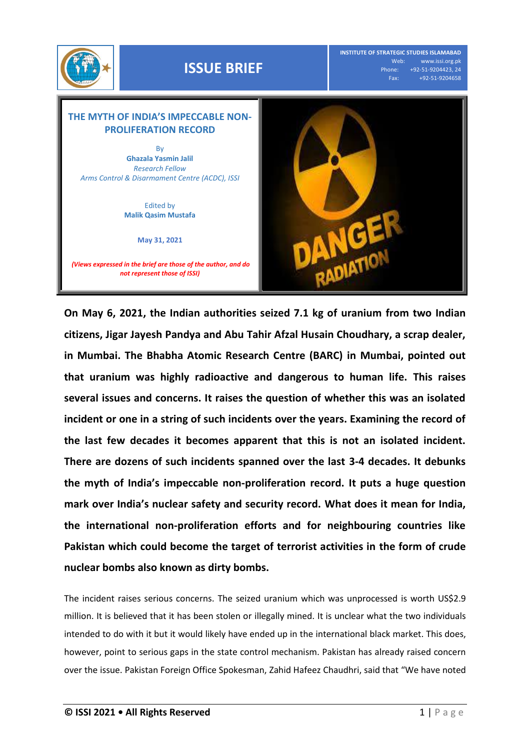

**On May 6, 2021, the Indian authorities seized 7.1 kg of uranium from two Indian citizens, Jigar Jayesh Pandya and Abu Tahir Afzal Husain Choudhary, a scrap dealer, in Mumbai. The Bhabha Atomic Research Centre (BARC) in Mumbai, pointed out that uranium was highly radioactive and dangerous to human life. This raises several issues and concerns. It raises the question of whether this was an isolated incident or one in a string of such incidents over the years. Examining the record of the last few decades it becomes apparent that this is not an isolated incident. There are dozens of such incidents spanned over the last 3-4 decades. It debunks the myth of India's impeccable non-proliferation record. It puts a huge question mark over India's nuclear safety and security record. What does it mean for India, the international non-proliferation efforts and for neighbouring countries like Pakistan which could become the target of terrorist activities in the form of crude nuclear bombs also known as dirty bombs.**

The incident raises serious concerns. The seized uranium which was unprocessed is worth US\$2.9 million. It is believed that it has been stolen or illegally mined. It is unclear what the two individuals intended to do with it but it would likely have ended up in the international black market. This does, however, point to serious gaps in the state control mechanism. Pakistan has already raised concern over the issue. Pakistan Foreign Office Spokesman, Zahid Hafeez Chaudhri, said that "We have noted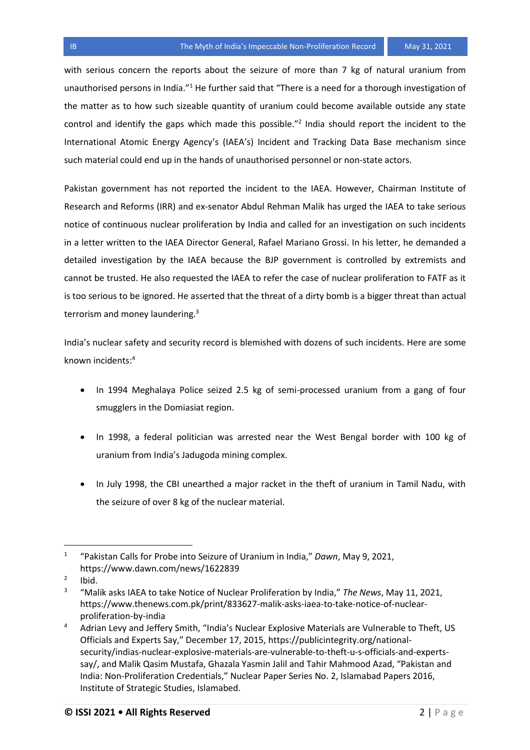with serious concern the reports about the seizure of more than 7 kg of natural uranium from unauthorised persons in India."<sup>1</sup> He further said that "There is a need for a thorough investigation of the matter as to how such sizeable quantity of uranium could become available outside any state control and identify the gaps which made this possible."<sup>2</sup> India should report the incident to the International Atomic Energy Agency's (IAEA's) Incident and Tracking Data Base mechanism since such material could end up in the hands of unauthorised personnel or non-state actors.

Pakistan government has not reported the incident to the IAEA. However, Chairman Institute of Research and Reforms (IRR) and ex-senator Abdul Rehman Malik has urged the IAEA to take serious notice of continuous nuclear proliferation by India and called for an investigation on such incidents in a letter written to the IAEA Director General, Rafael Mariano Grossi. In his letter, he demanded a detailed investigation by the IAEA because the BJP government is controlled by extremists and cannot be trusted. He also requested the IAEA to refer the case of nuclear proliferation to FATF as it is too serious to be ignored. He asserted that the threat of a dirty bomb is a bigger threat than actual terrorism and money laundering.<sup>3</sup>

India's nuclear safety and security record is blemished with dozens of such incidents. Here are some known incidents:<sup>4</sup>

- In 1994 Meghalaya Police seized 2.5 kg of semi-processed uranium from a gang of four smugglers in the Domiasiat region.
- In 1998, a federal politician was arrested near the West Bengal border with 100 kg of uranium from India's Jadugoda mining complex.
- In July 1998, the CBI unearthed a major racket in the theft of uranium in Tamil Nadu, with the seizure of over 8 kg of the nuclear material.

l

<sup>1</sup> "Pakistan Calls for Probe into Seizure of Uranium in India," *Dawn*, May 9, 2021, https://www.dawn.com/news/1622839

<sup>2</sup> Ibid.

<sup>3</sup> "Malik asks IAEA to take Notice of Nuclear Proliferation by India," *The News*, May 11, 2021, https://www.thenews.com.pk/print/833627-malik-asks-iaea-to-take-notice-of-nuclearproliferation-by-india

<sup>&</sup>lt;sup>4</sup> Adrian Levy and Jeffery Smith, "India's Nuclear Explosive Materials are Vulnerable to Theft, US Officials and Experts Say," December 17, 2015, https://publicintegrity.org/nationalsecurity/indias-nuclear-explosive-materials-are-vulnerable-to-theft-u-s-officials-and-expertssay/, and Malik Qasim Mustafa, Ghazala Yasmin Jalil and Tahir Mahmood Azad, "Pakistan and India: Non-Proliferation Credentials," Nuclear Paper Series No. 2, Islamabad Papers 2016, Institute of Strategic Studies, Islamabed.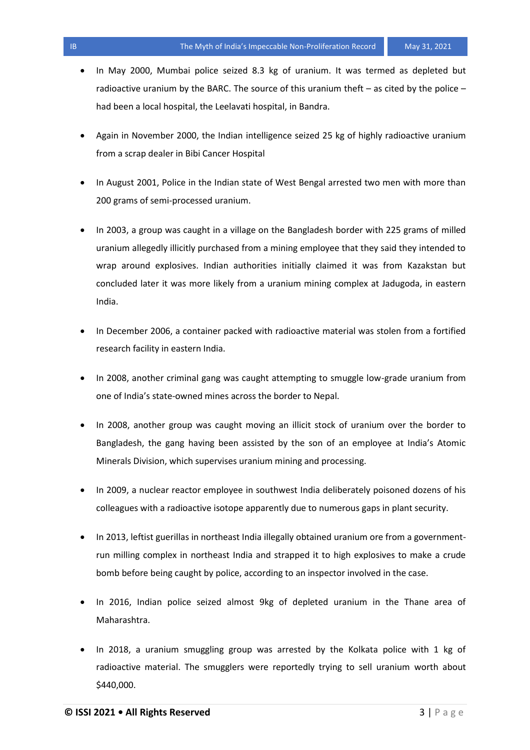- In May 2000, Mumbai police seized 8.3 kg of uranium. It was termed as depleted but radioactive uranium by the BARC. The source of this uranium theft  $-$  as cited by the police  $$ had been a local hospital, the Leelavati hospital, in Bandra.
- Again in November 2000, the Indian intelligence seized 25 kg of highly radioactive uranium from a scrap dealer in Bibi Cancer Hospital
- In August 2001, Police in the Indian state of West Bengal arrested two men with more than 200 grams of semi-processed uranium.
- In 2003, a group was caught in a village on the Bangladesh border with 225 grams of milled uranium allegedly illicitly purchased from a mining employee that they said they intended to wrap around explosives. Indian authorities initially claimed it was from Kazakstan but concluded later it was more likely from a uranium mining complex at Jadugoda, in eastern India.
- In December 2006, a container packed with radioactive material was stolen from a fortified research facility in eastern India.
- In 2008, another criminal gang was caught attempting to smuggle low-grade uranium from one of India's state-owned mines across the border to Nepal.
- In 2008, another group was caught moving an illicit stock of uranium over the border to Bangladesh, the gang having been assisted by the son of an employee at India's Atomic Minerals Division, which supervises uranium mining and processing.
- In 2009, a nuclear reactor employee in southwest India deliberately poisoned dozens of his colleagues with a radioactive isotope apparently due to numerous gaps in plant security.
- In 2013, leftist guerillas in northeast India illegally obtained uranium ore from a governmentrun milling complex in northeast India and strapped it to high explosives to make a crude bomb before being caught by police, according to an inspector involved in the case.
- In 2016, Indian police seized almost 9kg of depleted uranium in the Thane area of Maharashtra.
- In 2018, a uranium smuggling group was arrested by the Kolkata police with 1 kg of radioactive material. The smugglers were reportedly trying to sell uranium worth about \$440,000.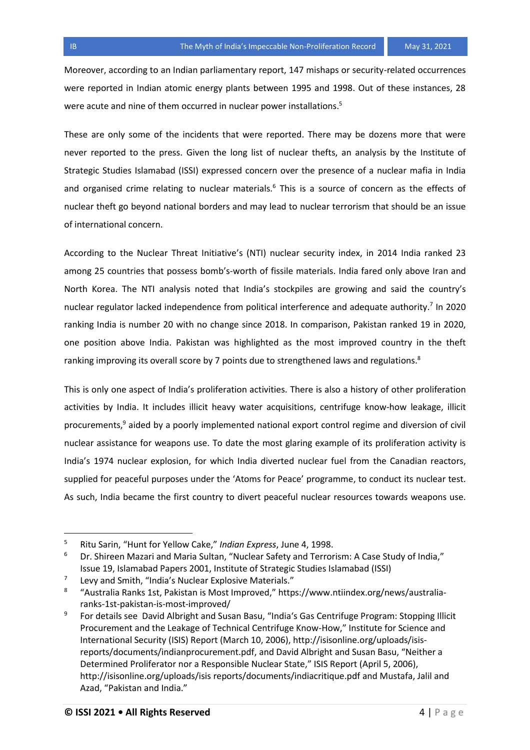Moreover, according to an Indian parliamentary report, 147 mishaps or security-related occurrences were reported in Indian atomic energy plants between 1995 and 1998. Out of these instances, 28 were acute and nine of them occurred in nuclear power installations.<sup>5</sup>

These are only some of the incidents that were reported. There may be dozens more that were never reported to the press. Given the long list of nuclear thefts, an analysis by the Institute of Strategic Studies Islamabad (ISSI) expressed concern over the presence of a nuclear mafia in India and organised crime relating to nuclear materials.<sup>6</sup> This is a source of concern as the effects of nuclear theft go beyond national borders and may lead to nuclear terrorism that should be an issue of international concern.

According to the Nuclear Threat Initiative's (NTI) nuclear security index, in 2014 India ranked 23 among 25 countries that possess bomb's-worth of fissile materials. India fared only above Iran and North Korea. The NTI analysis noted that India's stockpiles are growing and said the country's nuclear regulator lacked independence from political interference and adequate authority.<sup>7</sup> In 2020 ranking India is number 20 with no change since 2018. In comparison, Pakistan ranked 19 in 2020, one position above India. Pakistan was highlighted as the most improved country in the theft ranking improving its overall score by 7 points due to strengthened laws and regulations.<sup>8</sup>

This is only one aspect of India's proliferation activities. There is also a history of other proliferation activities by India. It includes illicit heavy water acquisitions, centrifuge know-how leakage, illicit procurements,<sup>9</sup> aided by a poorly implemented national export control regime and diversion of civil nuclear assistance for weapons use. To date the most glaring example of its proliferation activity is India's 1974 nuclear explosion, for which India diverted nuclear fuel from the Canadian reactors, supplied for peaceful purposes under the 'Atoms for Peace' programme, to conduct its nuclear test. As such, India became the first country to divert peaceful nuclear resources towards weapons use.

l

<sup>5</sup> Ritu Sarin, "Hunt for Yellow Cake," *Indian Express*, June 4, 1998.

 $6$  Dr. Shireen Mazari and Maria Sultan, "Nuclear Safety and Terrorism: A Case Study of India," Issue 19, Islamabad Papers 2001, Institute of Strategic Studies Islamabad (ISSI)

<sup>7</sup> Levy and Smith, "India's Nuclear Explosive Materials."

<sup>8</sup> "Australia Ranks 1st, Pakistan is Most Improved," https://www.ntiindex.org/news/australiaranks-1st-pakistan-is-most-improved/

<sup>9</sup> For details see David Albright and Susan Basu, "India's Gas Centrifuge Program: Stopping Illicit Procurement and the Leakage of Technical Centrifuge Know-How," Institute for Science and International Security (ISIS) Report (March 10, 2006), http://isisonline.org/uploads/isisreports/documents/indianprocurement.pdf, and David Albright and Susan Basu, "Neither a Determined Proliferator nor a Responsible Nuclear State," ISIS Report (April 5, 2006), http://isisonline.org/uploads/isis reports/documents/indiacritique.pdf and Mustafa, Jalil and Azad, "Pakistan and India."